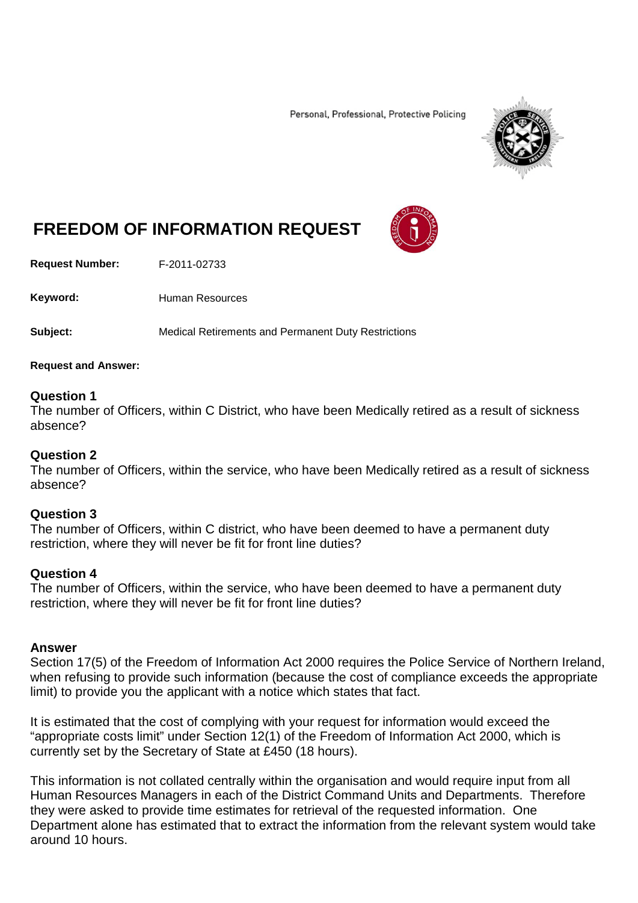Personal, Professional, Protective Policing



# **FREEDOM OF INFORMATION REQUEST**

**Request Number:** F-2011-02733

Keyword: Human Resources

**Subject:** Medical Retirements and Permanent Duty Restrictions

**Request and Answer:**

## **Question 1**

The number of Officers, within C District, who have been Medically retired as a result of sickness absence?

### **Question 2**

The number of Officers, within the service, who have been Medically retired as a result of sickness absence?

#### **Question 3**

The number of Officers, within C district, who have been deemed to have a permanent duty restriction, where they will never be fit for front line duties?

#### **Question 4**

The number of Officers, within the service, who have been deemed to have a permanent duty restriction, where they will never be fit for front line duties?

#### **Answer**

Section 17(5) of the Freedom of Information Act 2000 requires the Police Service of Northern Ireland, when refusing to provide such information (because the cost of compliance exceeds the appropriate limit) to provide you the applicant with a notice which states that fact.

It is estimated that the cost of complying with your request for information would exceed the "appropriate costs limit" under Section 12(1) of the Freedom of Information Act 2000, which is currently set by the Secretary of State at £450 (18 hours).

This information is not collated centrally within the organisation and would require input from all Human Resources Managers in each of the District Command Units and Departments. Therefore they were asked to provide time estimates for retrieval of the requested information. One Department alone has estimated that to extract the information from the relevant system would take around 10 hours.